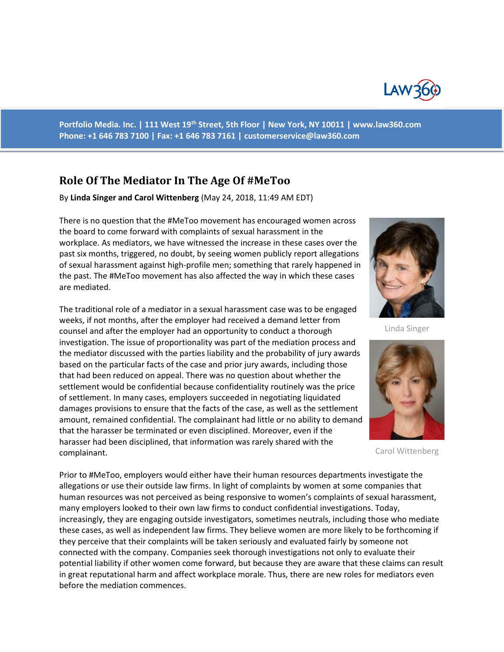

**Portfolio Media. Inc. | 111 West 19th Street, 5th Floor | New York, NY 10011 | www.law360.com Phone: +1 646 783 7100 | Fax: +1 646 783 7161 | [customerservice@law360.com](mailto:customerservice@law360.com)**

## **Role Of The Mediator In The Age Of #MeToo**

By **Linda Singer and Carol Wittenberg** (May 24, 2018, 11:49 AM EDT)

There is no question that the #MeToo movement has encouraged women across the board to come forward with complaints of sexual harassment in the workplace. As mediators, we have witnessed the increase in these cases over the past six months, triggered, no doubt, by seeing women publicly report allegations of sexual harassment against high-profile men; something that rarely happened in the past. The #MeToo movement has also affected the way in which these cases are mediated.

The traditional role of a mediator in a sexual harassment case was to be engaged weeks, if not months, after the employer had received a demand letter from counsel and after the employer had an opportunity to conduct a thorough investigation. The issue of proportionality was part of the mediation process and the mediator discussed with the parties liability and the probability of jury awards based on the particular facts of the case and prior jury awards, including those that had been reduced on appeal. There was no question about whether the settlement would be confidential because confidentiality routinely was the price of settlement. In many cases, employers succeeded in negotiating liquidated damages provisions to ensure that the facts of the case, as well as the settlement amount, remained confidential. The complainant had little or no ability to demand that the harasser be terminated or even disciplined. Moreover, even if the harasser had been disciplined, that information was rarely shared with the complainant.

Prior to #MeToo, employers would either have their human resources departments investigate the allegations or use their outside law firms. In light of complaints by women at some companies that human resources was not perceived as being responsive to women's complaints of sexual harassment, many employers looked to their own law firms to conduct confidential investigations. Today, increasingly, they are engaging outside investigators, sometimes neutrals, including those who mediate these cases, as well as independent law firms. They believe women are more likely to be forthcoming if they perceive that their complaints will be taken seriously and evaluated fairly by someone not connected with the company. Companies seek thorough investigations not only to evaluate their potential liability if other women come forward, but because they are aware that these claims can result in great reputational harm and affect workplace morale. Thus, there are new roles for mediators even before the mediation commences.



Linda Singer



Carol Wittenberg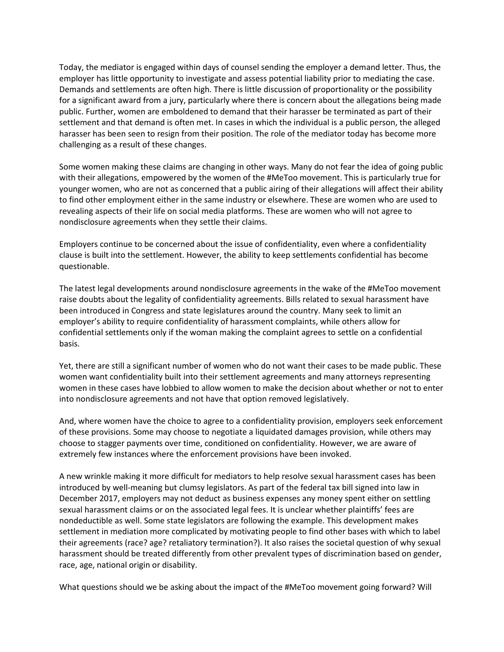Today, the mediator is engaged within days of counsel sending the employer a demand letter. Thus, the employer has little opportunity to investigate and assess potential liability prior to mediating the case. Demands and settlements are often high. There is little discussion of proportionality or the possibility for a significant award from a jury, particularly where there is concern about the allegations being made public. Further, women are emboldened to demand that their harasser be terminated as part of their settlement and that demand is often met. In cases in which the individual is a public person, the alleged harasser has been seen to resign from their position. The role of the mediator today has become more challenging as a result of these changes.

Some women making these claims are changing in other ways. Many do not fear the idea of going public with their allegations, empowered by the women of the #MeToo movement. This is particularly true for younger women, who are not as concerned that a public airing of their allegations will affect their ability to find other employment either in the same industry or elsewhere. These are women who are used to revealing aspects of their life on social media platforms. These are women who will not agree to nondisclosure agreements when they settle their claims.

Employers continue to be concerned about the issue of confidentiality, even where a confidentiality clause is built into the settlement. However, the ability to keep settlements confidential has become questionable.

The latest legal developments around nondisclosure agreements in the wake of the #MeToo movement raise doubts about the legality of confidentiality agreements. Bills related to sexual harassment have been introduced in Congress and state legislatures around the country. Many seek to limit an employer's ability to require confidentiality of harassment complaints, while others allow for confidential settlements only if the woman making the complaint agrees to settle on a confidential basis.

Yet, there are still a significant number of women who do not want their cases to be made public. These women want confidentiality built into their settlement agreements and many attorneys representing women in these cases have lobbied to allow women to make the decision about whether or not to enter into nondisclosure agreements and not have that option removed legislatively.

And, where women have the choice to agree to a confidentiality provision, employers seek enforcement of these provisions. Some may choose to negotiate a liquidated damages provision, while others may choose to stagger payments over time, conditioned on confidentiality. However, we are aware of extremely few instances where the enforcement provisions have been invoked.

A new wrinkle making it more difficult for mediators to help resolve sexual harassment cases has been introduced by well-meaning but clumsy legislators. As part of the federal tax bill signed into law in December 2017, employers may not deduct as business expenses any money spent either on settling sexual harassment claims or on the associated legal fees. It is unclear whether plaintiffs' fees are nondeductible as well. Some state legislators are following the example. This development makes settlement in mediation more complicated by motivating people to find other bases with which to label their agreements (race? age? retaliatory termination?). It also raises the societal question of why sexual harassment should be treated differently from other prevalent types of discrimination based on gender, race, age, national origin or disability.

What questions should we be asking about the impact of the #MeToo movement going forward? Will